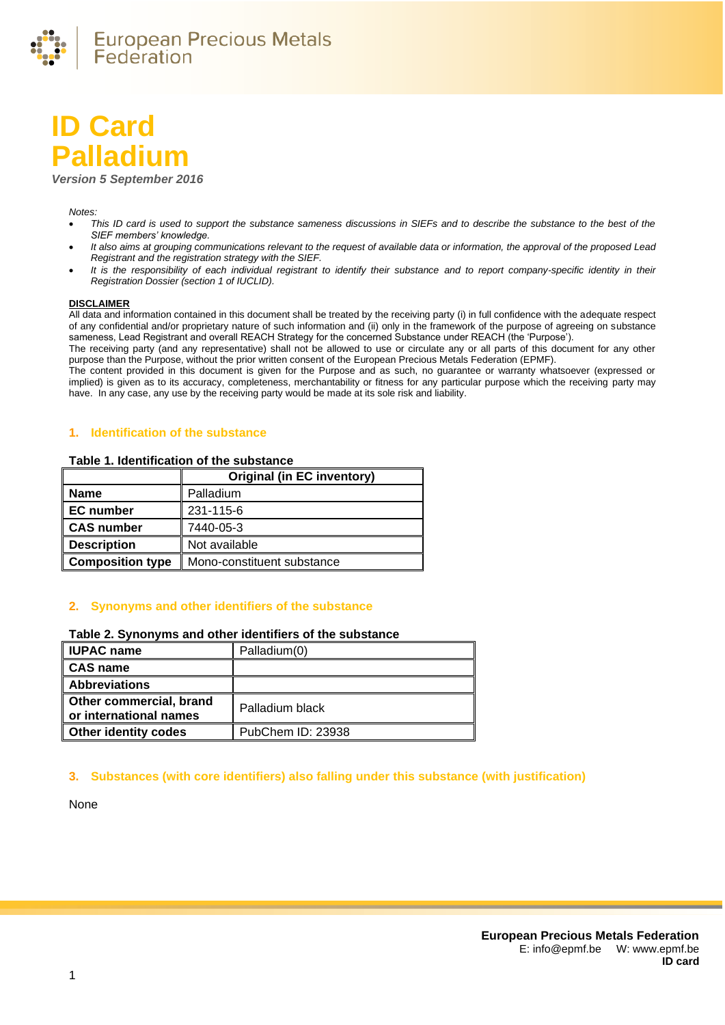

# **ID Card Palladium**

*Version 5 September 2016*

#### *Notes:*

- *This ID card is used to support the substance sameness discussions in SIEFs and to describe the substance to the best of the SIEF members' knowledge.*
- *It also aims at grouping communications relevant to the request of available data or information, the approval of the proposed Lead Registrant and the registration strategy with the SIEF.*
- *It is the responsibility of each individual registrant to identify their substance and to report company-specific identity in their Registration Dossier (section 1 of IUCLID).*

#### **DISCLAIMER**

All data and information contained in this document shall be treated by the receiving party (i) in full confidence with the adequate respect of any confidential and/or proprietary nature of such information and (ii) only in the framework of the purpose of agreeing on substance sameness, Lead Registrant and overall REACH Strategy for the concerned Substance under REACH (the 'Purpose').

The receiving party (and any representative) shall not be allowed to use or circulate any or all parts of this document for any other purpose than the Purpose, without the prior written consent of the European Precious Metals Federation (EPMF).

The content provided in this document is given for the Purpose and as such, no guarantee or warranty whatsoever (expressed or implied) is given as to its accuracy, completeness, merchantability or fitness for any particular purpose which the receiving party may have. In any case, any use by the receiving party would be made at its sole risk and liability.

# **1. Identification of the substance**

#### **Table 1. Identification of the substance**

|                         | <b>Original (in EC inventory)</b> |
|-------------------------|-----------------------------------|
| <b>Name</b>             | Palladium                         |
| <b>EC</b> number        | 231-115-6                         |
| <b>CAS number</b>       | 7440-05-3                         |
| <b>Description</b>      | Not available                     |
| <b>Composition type</b> | Mono-constituent substance        |

## **2. Synonyms and other identifiers of the substance**

#### **Table 2. Synonyms and other identifiers of the substance**

| <b>IUPAC name</b>                                 | Palladium(0)      |
|---------------------------------------------------|-------------------|
| <b>CAS name</b>                                   |                   |
| <b>Abbreviations</b>                              |                   |
| Other commercial, brand<br>or international names | Palladium black   |
| <b>Other identity codes</b>                       | PubChem ID: 23938 |

## **3. Substances (with core identifiers) also falling under this substance (with justification)**

None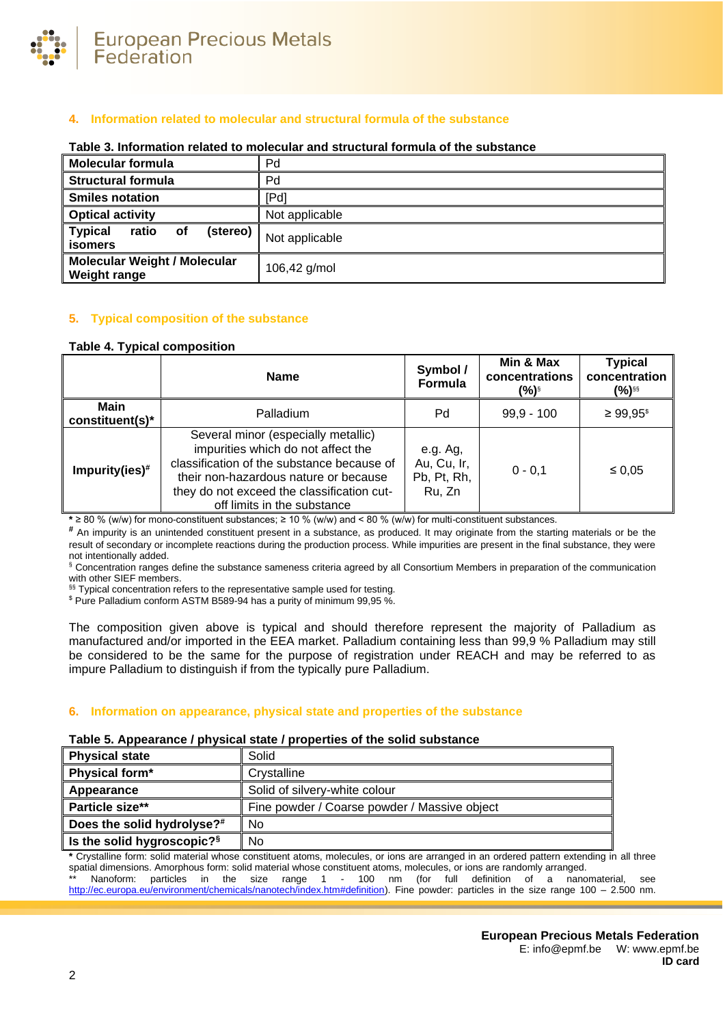

# **4. Information related to molecular and structural formula of the substance**

| Molecular formula                                                  | Pd             |
|--------------------------------------------------------------------|----------------|
| Structural formula                                                 | Pd             |
| <b>Smiles notation</b>                                             | [Pd]           |
| <b>Optical activity</b>                                            | Not applicable |
| <b>Typical</b><br><b>of</b><br>ratio<br>(stereo)<br><b>isomers</b> | Not applicable |
| <b>Molecular Weight / Molecular</b><br><b>Weight range</b>         | 106,42 g/mol   |

## **Table 3. Information related to molecular and structural formula of the substance**

# **5. Typical composition of the substance**

# <span id="page-1-0"></span>**Table 4. Typical composition**

|                                | <b>Name</b>                                                                                                                                                                                                                                   | Symbol /<br>Formula                              | Min & Max<br>concentrations<br>(%)§ | <b>Typical</b><br>concentration<br>(%)§§ |
|--------------------------------|-----------------------------------------------------------------------------------------------------------------------------------------------------------------------------------------------------------------------------------------------|--------------------------------------------------|-------------------------------------|------------------------------------------|
| <b>Main</b><br>constituent(s)* | Palladium                                                                                                                                                                                                                                     | Pd                                               | $99,9 - 100$                        | $≥ 99.95$ <sup>\$</sup>                  |
| Impurity(ies) <sup>#</sup>     | Several minor (especially metallic)<br>impurities which do not affect the<br>classification of the substance because of<br>their non-hazardous nature or because<br>they do not exceed the classification cut-<br>off limits in the substance | e.g. Ag,<br>Au, Cu, Ir,<br>Pb, Pt, Rh,<br>Ru. Zn | $0 - 0.1$                           | $\leq 0.05$                              |

**\*** ≥ 80 % (w/w) for mono-constituent substances; ≥ 10 % (w/w) and < 80 % (w/w) for multi-constituent substances.

**#** An impurity is an unintended constituent present in a substance, as produced. It may originate from the starting materials or be the result of secondary or incomplete reactions during the production process. While impurities are present in the final substance, they were not intentionally added.

§ Concentration ranges define the substance sameness criteria agreed by all Consortium Members in preparation of the communication with other SIEF members.

§§ Typical concentration refers to the representative sample used for testing.

\$ Pure Palladium conform ASTM B589-94 has a purity of minimum 99,95 %.

The composition given above is typical and should therefore represent the majority of Palladium as manufactured and/or imported in the EEA market. Palladium containing less than 99,9 % Palladium may still be considered to be the same for the purpose of registration under REACH and may be referred to as impure Palladium to distinguish if from the typically pure Palladium.

## **6. Information on appearance, physical state and properties of the substance**

#### **Table 5. Appearance / physical state / properties of the solid substance**

| <b>Physical state</b>                  | Solid                                        |
|----------------------------------------|----------------------------------------------|
| Physical form*                         | Crystalline                                  |
| Appearance                             | Solid of silvery-white colour                |
| Particle size**                        | Fine powder / Coarse powder / Massive object |
| Does the solid hydrolyse? <sup>#</sup> | No                                           |
| Is the solid hygroscopic? <sup>§</sup> | No                                           |

**\*** Crystalline form: solid material whose constituent atoms, molecules, or ions are arranged in an ordered pattern extending in all three spatial dimensions. Amorphous form: solid material whose constituent atoms, molecules, or ions are randomly arranged. Nanoform: particles in the size range 1 - 100 nm (for full definition of a nanomaterial, see [http://ec.europa.eu/environment/chemicals/nanotech/index.htm#definition\)](http://ec.europa.eu/environment/chemicals/nanotech/index.htm#definition). Fine powder: particles in the size range 100 – 2.500 nm.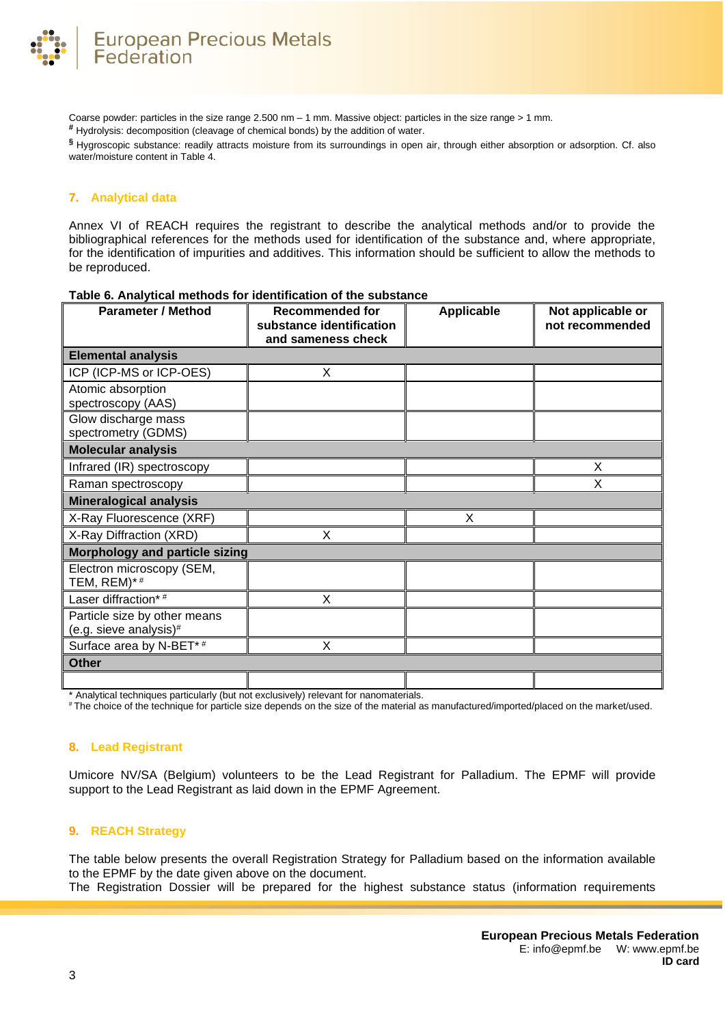

Coarse powder: particles in the size range 2.500 nm – 1 mm. Massive object: particles in the size range > 1 mm.

**#** Hydrolysis: decomposition (cleavage of chemical bonds) by the addition of water.

**§** Hygroscopic substance: readily attracts moisture from its surroundings in open air, through either absorption or adsorption. Cf. also water/moisture content i[n Table 4.](#page-1-0)

## **7. Analytical data**

Annex VI of REACH requires the registrant to describe the analytical methods and/or to provide the bibliographical references for the methods used for identification of the substance and, where appropriate, for the identification of impurities and additives. This information should be sufficient to allow the methods to be reproduced.

| <b>Parameter / Method</b>                              | <b>Recommended for</b><br>substance identification | <b>Applicable</b> | Not applicable or<br>not recommended |
|--------------------------------------------------------|----------------------------------------------------|-------------------|--------------------------------------|
|                                                        | and sameness check                                 |                   |                                      |
| <b>Elemental analysis</b>                              |                                                    |                   |                                      |
| ICP (ICP-MS or ICP-OES)                                | X                                                  |                   |                                      |
| Atomic absorption<br>spectroscopy (AAS)                |                                                    |                   |                                      |
| Glow discharge mass<br>spectrometry (GDMS)             |                                                    |                   |                                      |
| <b>Molecular analysis</b>                              |                                                    |                   |                                      |
| Infrared (IR) spectroscopy                             |                                                    |                   | X                                    |
| Raman spectroscopy                                     |                                                    |                   | X                                    |
| <b>Mineralogical analysis</b>                          |                                                    |                   |                                      |
| X-Ray Fluorescence (XRF)                               |                                                    | X                 |                                      |
| X-Ray Diffraction (XRD)                                | X                                                  |                   |                                      |
| <b>Morphology and particle sizing</b>                  |                                                    |                   |                                      |
| Electron microscopy (SEM,<br>TEM, REM)*#               |                                                    |                   |                                      |
| Laser diffraction*#                                    | X                                                  |                   |                                      |
| Particle size by other means<br>(e.g. sieve analysis)# |                                                    |                   |                                      |
| Surface area by N-BET*#                                | X                                                  |                   |                                      |
| <b>Other</b>                                           |                                                    |                   |                                      |
|                                                        |                                                    |                   |                                      |

# **Table 6. Analytical methods for identification of the substance**

Analytical techniques particularly (but not exclusively) relevant for nanomaterials.

# The choice of the technique for particle size depends on the size of the material as manufactured/imported/placed on the market/used.

#### **8. Lead Registrant**

Umicore NV/SA (Belgium) volunteers to be the Lead Registrant for Palladium. The EPMF will provide support to the Lead Registrant as laid down in the EPMF Agreement.

#### **9. REACH Strategy**

The table below presents the overall Registration Strategy for Palladium based on the information available to the EPMF by the date given above on the document.

The Registration Dossier will be prepared for the highest substance status (information requirements